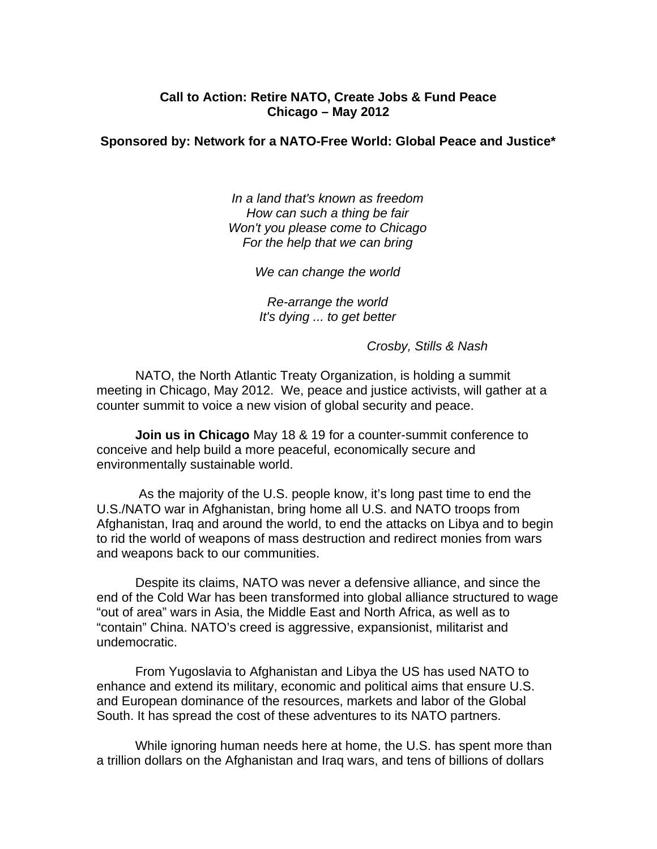### **Call to Action: Retire NATO, Create Jobs & Fund Peace Chicago – May 2012**

#### **Sponsored by: Network for a NATO-Free World: Global Peace and Justice\***

In a land that's known as freedom How can such a thing be fair Won't you please come to Chicago For the help that we can bring

We can change the world

Re-arrange the world It's dying ... to get better

Crosby, Stills & Nash

NATO, the North Atlantic Treaty Organization, is holding a summit meeting in Chicago, May 2012. We, peace and justice activists, will gather at a counter summit to voice a new vision of global security and peace.

**Join us in Chicago** May 18 & 19 for a counter-summit conference to conceive and help build a more peaceful, economically secure and environmentally sustainable world.

 As the majority of the U.S. people know, it's long past time to end the U.S./NATO war in Afghanistan, bring home all U.S. and NATO troops from Afghanistan, Iraq and around the world, to end the attacks on Libya and to begin to rid the world of weapons of mass destruction and redirect monies from wars and weapons back to our communities.

Despite its claims, NATO was never a defensive alliance, and since the end of the Cold War has been transformed into global alliance structured to wage "out of area" wars in Asia, the Middle East and North Africa, as well as to "contain" China. NATO's creed is aggressive, expansionist, militarist and undemocratic.

From Yugoslavia to Afghanistan and Libya the US has used NATO to enhance and extend its military, economic and political aims that ensure U.S. and European dominance of the resources, markets and labor of the Global South. It has spread the cost of these adventures to its NATO partners.

While ignoring human needs here at home, the U.S. has spent more than a trillion dollars on the Afghanistan and Iraq wars, and tens of billions of dollars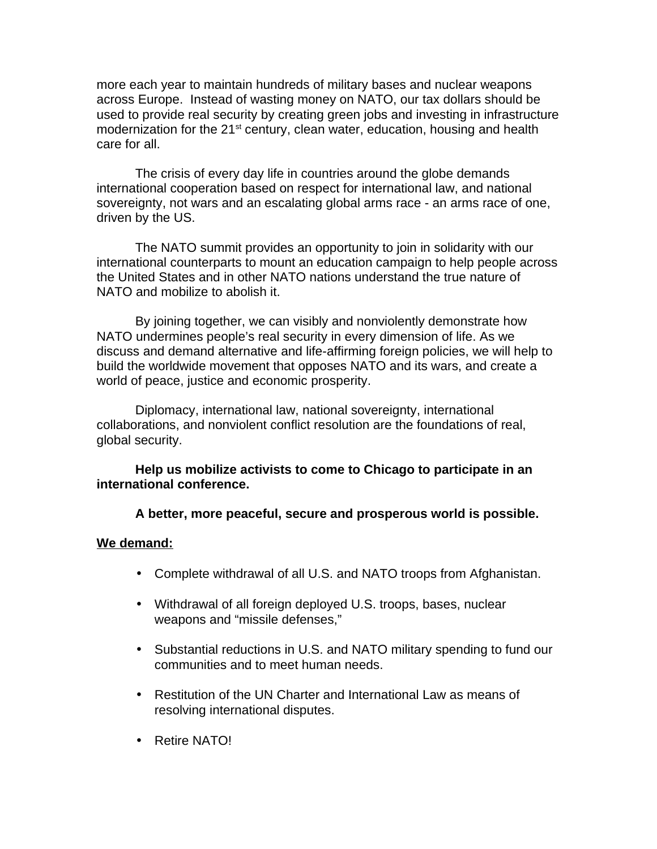more each year to maintain hundreds of military bases and nuclear weapons across Europe. Instead of wasting money on NATO, our tax dollars should be used to provide real security by creating green jobs and investing in infrastructure modernization for the 21<sup>st</sup> century, clean water, education, housing and health care for all.

The crisis of every day life in countries around the globe demands international cooperation based on respect for international law, and national sovereignty, not wars and an escalating global arms race - an arms race of one, driven by the US.

The NATO summit provides an opportunity to join in solidarity with our international counterparts to mount an education campaign to help people across the United States and in other NATO nations understand the true nature of NATO and mobilize to abolish it.

By joining together, we can visibly and nonviolently demonstrate how NATO undermines people's real security in every dimension of life. As we discuss and demand alternative and life-affirming foreign policies, we will help to build the worldwide movement that opposes NATO and its wars, and create a world of peace, justice and economic prosperity.

Diplomacy, international law, national sovereignty, international collaborations, and nonviolent conflict resolution are the foundations of real, global security.

# **Help us mobilize activists to come to Chicago to participate in an international conference.**

# **A better, more peaceful, secure and prosperous world is possible.**

### **We demand:**

- Complete withdrawal of all U.S. and NATO troops from Afghanistan.
- Withdrawal of all foreign deployed U.S. troops, bases, nuclear weapons and "missile defenses,"
- Substantial reductions in U.S. and NATO military spending to fund our communities and to meet human needs.
- Restitution of the UN Charter and International Law as means of resolving international disputes.
- Retire NATO!